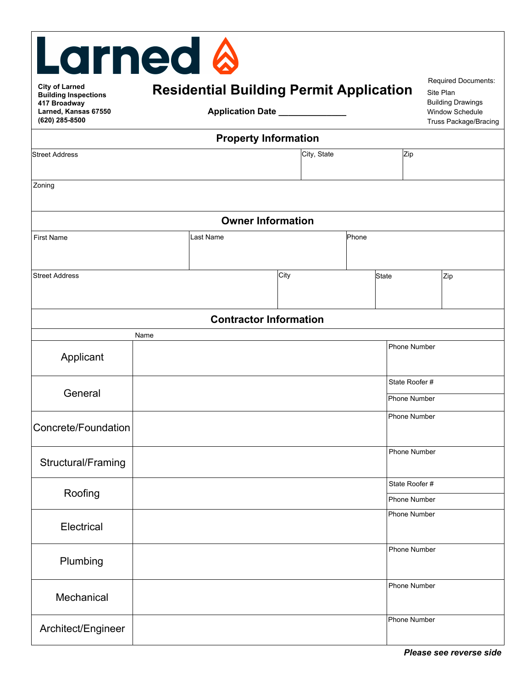| <b>Larned &amp;</b>                                    |                             |                                                |      |             |       |              |                                                                             |                                         |  |  |  |
|--------------------------------------------------------|-----------------------------|------------------------------------------------|------|-------------|-------|--------------|-----------------------------------------------------------------------------|-----------------------------------------|--|--|--|
| <b>City of Larned</b><br><b>Building Inspections</b>   |                             | <b>Residential Building Permit Application</b> |      |             |       |              |                                                                             | <b>Required Documents:</b><br>Site Plan |  |  |  |
| 417 Broadway<br>Larned, Kansas 67550<br>(620) 285-8500 | Application Date __________ |                                                |      |             |       |              | <b>Building Drawings</b><br>Window Schedule<br><b>Truss Package/Bracing</b> |                                         |  |  |  |
| <b>Property Information</b>                            |                             |                                                |      |             |       |              |                                                                             |                                         |  |  |  |
| <b>Street Address</b>                                  |                             |                                                |      | City, State |       |              | Zip                                                                         |                                         |  |  |  |
| Zoning                                                 |                             |                                                |      |             |       |              |                                                                             |                                         |  |  |  |
| <b>Owner Information</b>                               |                             |                                                |      |             |       |              |                                                                             |                                         |  |  |  |
| <b>First Name</b>                                      |                             | Last Name                                      |      |             | Phone |              |                                                                             |                                         |  |  |  |
| <b>Street Address</b>                                  |                             |                                                | City |             |       | <b>State</b> |                                                                             | Zip                                     |  |  |  |
|                                                        |                             | <b>Contractor Information</b>                  |      |             |       |              |                                                                             |                                         |  |  |  |
|                                                        | Name                        |                                                |      |             |       |              |                                                                             |                                         |  |  |  |
| Applicant                                              |                             |                                                |      |             |       |              | <b>Phone Number</b>                                                         |                                         |  |  |  |
| General                                                |                             |                                                |      |             |       |              | State Roofer #<br><b>Phone Number</b>                                       |                                         |  |  |  |
| Concrete/Foundation                                    |                             |                                                |      |             |       |              | Phone Number                                                                |                                         |  |  |  |
| Structural/Framing                                     |                             |                                                |      |             |       |              | <b>Phone Number</b>                                                         |                                         |  |  |  |
| Roofing                                                |                             |                                                |      |             |       |              | State Roofer #                                                              |                                         |  |  |  |
|                                                        |                             |                                                |      |             |       |              | <b>Phone Number</b>                                                         |                                         |  |  |  |
| Electrical                                             |                             |                                                |      |             |       |              | <b>Phone Number</b>                                                         |                                         |  |  |  |
| Plumbing                                               |                             |                                                |      |             |       |              | <b>Phone Number</b>                                                         |                                         |  |  |  |
| Mechanical                                             |                             |                                                |      |             |       |              | <b>Phone Number</b>                                                         |                                         |  |  |  |
| Architect/Engineer                                     |                             |                                                |      |             |       |              | <b>Phone Number</b>                                                         |                                         |  |  |  |